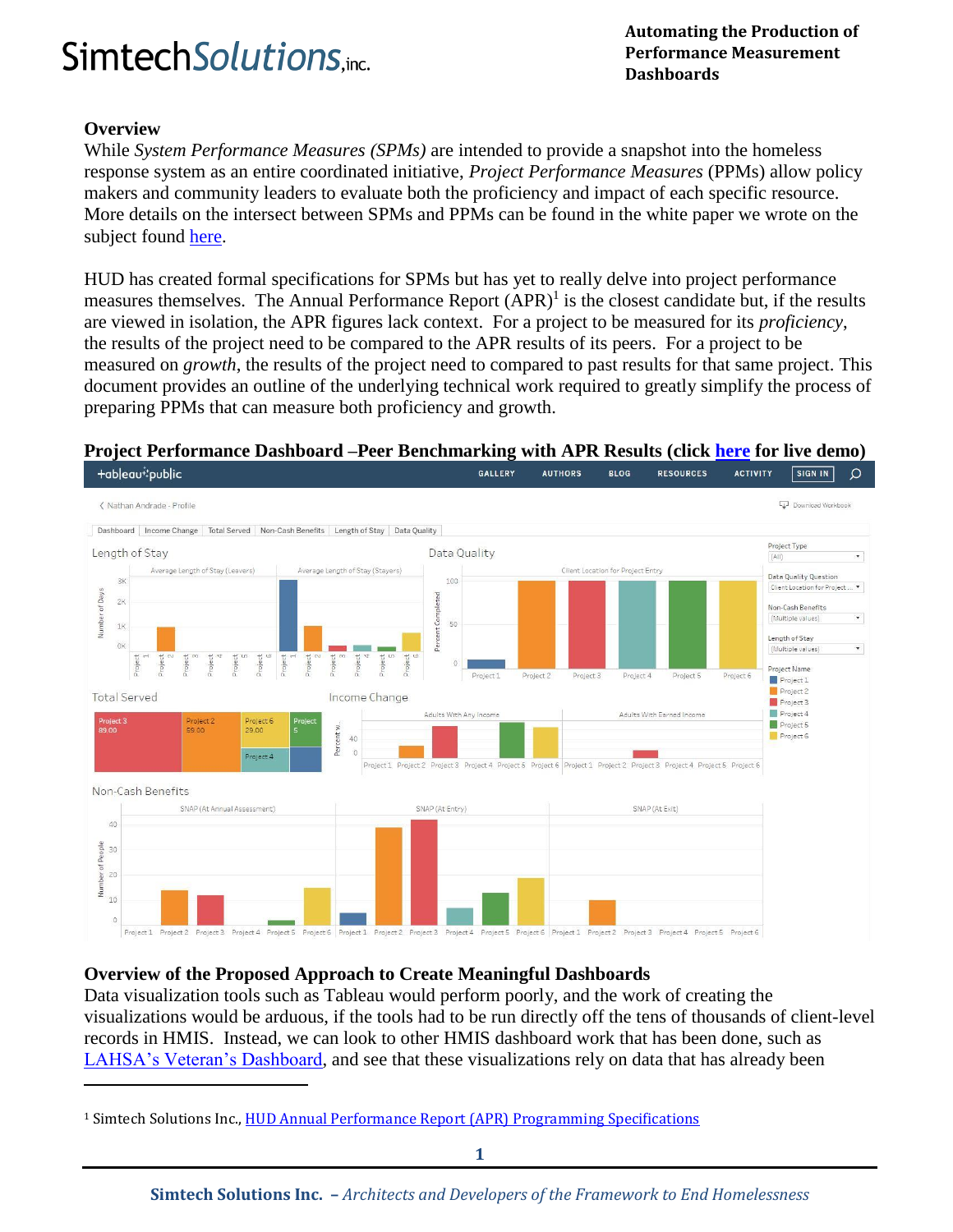# **Automating the Production of**<br> **Automating the Production of**<br> **Performance Measurement**

### **Overview**

l

While *System Performance Measures (SPMs)* are intended to provide a snapshot into the homeless response system as an entire coordinated initiative, *Project Performance Measures* (PPMs) allow policy makers and community leaders to evaluate both the proficiency and impact of each specific resource. More details on the intersect between SPMs and PPMs can be found in the white paper we wrote on the subject found [here.](http://www.simtechsolutions.com/index.cfm/_api/render/file/?method=inline&fileID=CDDE68C9-C608-43F2-A1CF3D5549FFD51D)

HUD has created formal specifications for SPMs but has yet to really delve into project performance measures themselves. The Annual Performance Report  $(APR)^1$  is the closest candidate but, if the results are viewed in isolation, the APR figures lack context. For a project to be measured for its *proficiency*, the results of the project need to be compared to the APR results of its peers. For a project to be measured on *growth*, the results of the project need to compared to past results for that same project. This document provides an outline of the underlying technical work required to greatly simplify the process of preparing PPMs that can measure both proficiency and growth.

#### GALLERY **RESOURCES ACTIVITY** +ableau<sup>+</sup>\*public **AUTHORS BLOG SIGN IN**  $\Omega$ < Nathan Andrade - Profile Download Wor Dashboard | Income Change | Total Served | Non-Cash Benefits | Length of Stay | Data Quality Project Type Length of Stay Data Quality  $(AII)$ age Length of Stay (Leavers) age Length of Stay (Stayers) Client Location for Project Entr Data Quality Question  $R$  $100$ Client Location for Project of Days Completed  $2<sub>k</sub>$ Non-Cash Benefits Jumber (Multiple values)  $50$ 1K Percent Length of Stav (Multiple values Project Name Project 1 Project 2 Project 3 Project 4 Project<sup>5</sup> Project 6 Project 1 Project 2 **Total Served** Income Change Project 3 Project 4 Adults With Any Incor Adults With Earned Income Project 5 29.00 Project 6 Percent 40  $\alpha$ Project 4 Project 1 Project 2 Project 3 Project 4 Project 5 Project 6 Project 1 Project 2 Project 3 Project 4 Project 5 Project 6 Non-Cash Benefits SNAP (At Annual Assessm SNAP (At Entry) 40 People  $20$ yer  $10$ Project 4 Project 5 Project 6 Project 1 Project 2 Project 3 Project 4 Project 5 Project 6 Project 1 Project 2 Project 3 Project 4 Project 5 Project 6 roject 2 Project 3

#### **Project Performance Dashboard [–Peer Benchmarking with APR Results \(click here](https://public.tableau.com/profile/nathan.andrade#!/vizhome/ComboDemoTest1/Dashboard) for live demo)**

#### **Overview of the Proposed Approach to Create Meaningful Dashboards**

Data visualization tools such as Tableau would perform poorly, and the work of creating the visualizations would be arduous, if the tools had to be run directly off the tens of thousands of client-level records in HMIS. Instead, we can look to other HMIS dashboard work that has been done, such a[s](https://www.lahsa.org/veteran-dashboard) [LAHSA's Veteran's Dashboard,](https://www.lahsa.org/veteran-dashboard) and see that these visualizations rely on data that has already been

<sup>&</sup>lt;sup>1</sup> Simtech Solutions Inc., **HUD Annual Performance Report (APR) Programming Specifications**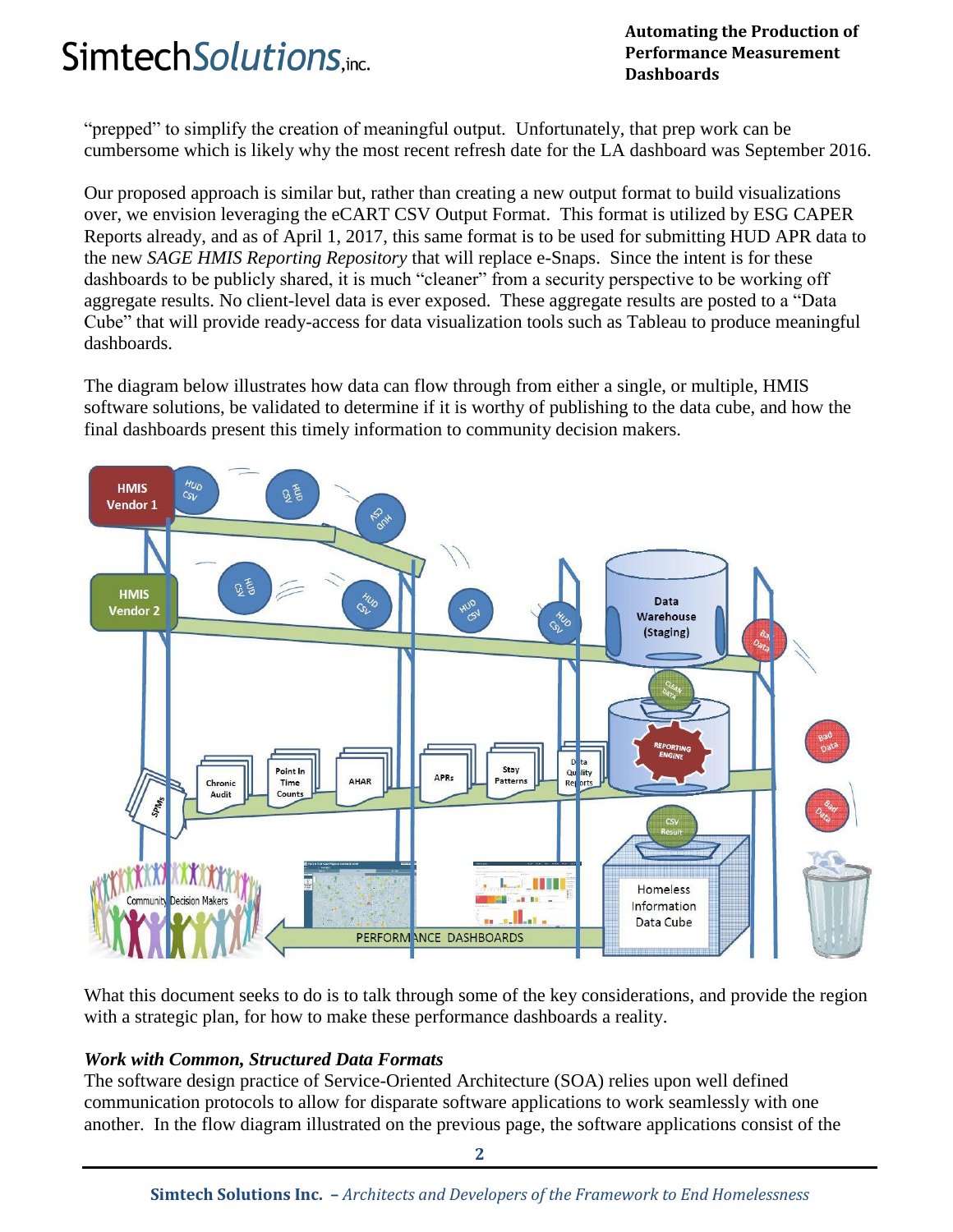## **Automating the Production of**<br> **Automating the Production of**<br> **Performance Measurement**

**Performance Measurement Dashboards**

"prepped" to simplify the creation of meaningful output. Unfortunately, that prep work can be cumbersome which is likely why the most recent refresh date for the LA dashboard was September 2016.

Our proposed approach is similar but, rather than creating a new output format to build visualizations over, we envision leveraging the eCART CSV Output Format. This format is utilized by ESG CAPER Reports already, and as of April 1, 2017, this same format is to be used for submitting HUD APR data to the new *SAGE HMIS Reporting Repository* that will replace e-Snaps. Since the intent is for these dashboards to be publicly shared, it is much "cleaner" from a security perspective to be working off aggregate results. No client-level data is ever exposed. These aggregate results are posted to a "Data Cube" that will provide ready-access for data visualization tools such as Tableau to produce meaningful dashboards.

The diagram below illustrates how data can flow through from either a single, or multiple, HMIS software solutions, be validated to determine if it is worthy of publishing to the data cube, and how the final dashboards present this timely information to community decision makers.



What this document seeks to do is to talk through some of the key considerations, and provide the region with a strategic plan, for how to make these performance dashboards a reality.

#### *Work with Common, Structured Data Formats*

The software design practice of Service-Oriented Architecture (SOA) relies upon well defined communication protocols to allow for disparate software applications to work seamlessly with one another. In the flow diagram illustrated on the previous page, the software applications consist of the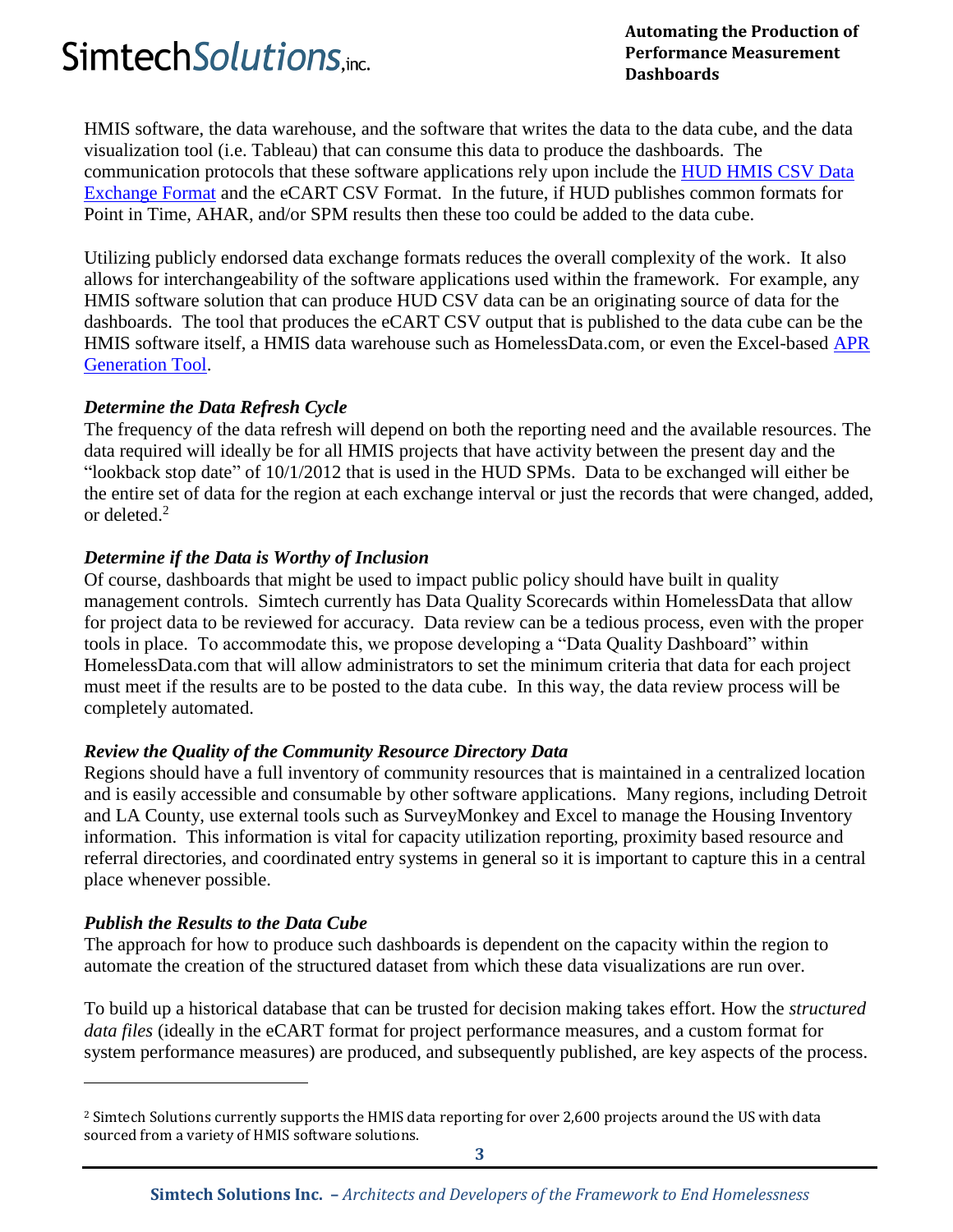## **Automating the Production of Performance Measurement**

**Performance Measurement Dashboards**

HMIS software, the data warehouse, and the software that writes the data to the data cube, and the data visualization tool (i.e. Tableau) that can consume this data to produce the dashboards. The communication protocols that these software applications rely upon include the [HUD HMIS CSV Data](http://www.hudhdx.info/VendorResources.aspx)  [Exchange Format](http://www.hudhdx.info/VendorResources.aspx) and the eCART CSV Format. In the future, if HUD publishes common formats for Point in Time, AHAR, and/or SPM results then these too could be added to the data cube.

Utilizing publicly endorsed data exchange formats reduces the overall complexity of the work. It also allows for interchangeability of the software applications used within the framework. For example, any HMIS software solution that can produce HUD CSV data can be an originating source of data for the dashboards. The tool that produces the eCART CSV output that is published to the data cube can be the HMIS software itself, a HMIS data warehouse such as HomelessData.com, or even the Excel-based [APR](https://www.hudexchange.info/resource/4956/apr-generation-tool-version-40/)  [Generation Tool.](https://www.hudexchange.info/resource/4956/apr-generation-tool-version-40/)

#### *Determine the Data Refresh Cycle*

The frequency of the data refresh will depend on both the reporting need and the available resources. The data required will ideally be for all HMIS projects that have activity between the present day and the "lookback stop date" of 10/1/2012 that is used in the HUD SPMs. Data to be exchanged will either be the entire set of data for the region at each exchange interval or just the records that were changed, added, or deleted.<sup>2</sup>

#### *Determine if the Data is Worthy of Inclusion*

Of course, dashboards that might be used to impact public policy should have built in quality management controls. Simtech currently has Data Quality Scorecards within HomelessData that allow for project data to be reviewed for accuracy. Data review can be a tedious process, even with the proper tools in place. To accommodate this, we propose developing a "Data Quality Dashboard" within HomelessData.com that will allow administrators to set the minimum criteria that data for each project must meet if the results are to be posted to the data cube. In this way, the data review process will be completely automated.

#### *Review the Quality of the Community Resource Directory Data*

Regions should have a full inventory of community resources that is maintained in a centralized location and is easily accessible and consumable by other software applications. Many regions, including Detroit and LA County, use external tools such as SurveyMonkey and Excel to manage the Housing Inventory information. This information is vital for capacity utilization reporting, proximity based resource and referral directories, and coordinated entry systems in general so it is important to capture this in a central place whenever possible.

#### *Publish the Results to the Data Cube*

 $\overline{\phantom{0}}$ 

The approach for how to produce such dashboards is dependent on the capacity within the region to automate the creation of the structured dataset from which these data visualizations are run over.

To build up a historical database that can be trusted for decision making takes effort. How the *structured data files* (ideally in the eCART format for project performance measures, and a custom format for system performance measures) are produced, and subsequently published, are key aspects of the process.

<sup>2</sup> Simtech Solutions currently supports the HMIS data reporting for over 2,600 projects around the US with data sourced from a variety of HMIS software solutions.